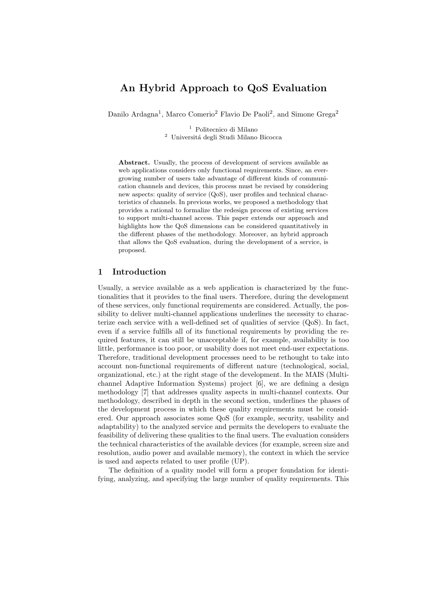# An Hybrid Approach to QoS Evaluation

Danilo Ardagna<sup>1</sup>, Marco Comerio<sup>2</sup> Flavio De Paoli<sup>2</sup>, and Simone Grega<sup>2</sup>

 $^{\rm 1}$  Politecnico di Milano  $^2$ Universitá degli Studi Milano Bicocca

Abstract. Usually, the process of development of services available as web applications considers only functional requirements. Since, an evergrowing number of users take advantage of different kinds of communication channels and devices, this process must be revised by considering new aspects: quality of service (QoS), user profiles and technical characteristics of channels. In previous works, we proposed a methodology that provides a rational to formalize the redesign process of existing services to support multi-channel access. This paper extends our approach and highlights how the QoS dimensions can be considered quantitatively in the different phases of the methodology. Moreover, an hybrid approach that allows the QoS evaluation, during the development of a service, is proposed.

### 1 Introduction

Usually, a service available as a web application is characterized by the functionalities that it provides to the final users. Therefore, during the development of these services, only functional requirements are considered. Actually, the possibility to deliver multi-channel applications underlines the necessity to characterize each service with a well-defined set of qualities of service (QoS). In fact, even if a service fulfills all of its functional requirements by providing the required features, it can still be unacceptable if, for example, availability is too little, performance is too poor, or usability does not meet end-user expectations. Therefore, traditional development processes need to be rethought to take into account non-functional requirements of different nature (technological, social, organizational, etc.) at the right stage of the development. In the MAIS (Multichannel Adaptive Information Systems) project [6], we are defining a design methodology [7] that addresses quality aspects in multi-channel contexts. Our methodology, described in depth in the second section, underlines the phases of the development process in which these quality requirements must be considered. Our approach associates some QoS (for example, security, usability and adaptability) to the analyzed service and permits the developers to evaluate the feasibility of delivering these qualities to the final users. The evaluation considers the technical characteristics of the available devices (for example, screen size and resolution, audio power and available memory), the context in which the service is used and aspects related to user profile (UP).

The definition of a quality model will form a proper foundation for identifying, analyzing, and specifying the large number of quality requirements. This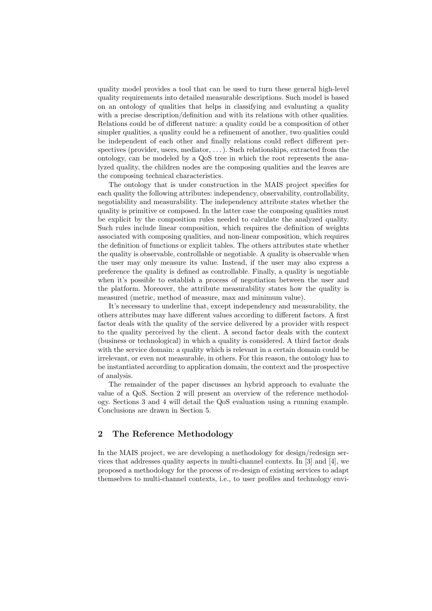quality model provides a tool that can be used to turn these general high-level quality requirements into detailed measurable descriptions. Such model is based on an ontology of qualities that helps in classifying and evaluating a quality with a precise description/definition and with its relations with other qualities. Relations could be of different nature: a quality could be a composition of other simpler qualities, a quality could be a refinement of another, two qualities could be independent of each other and finally relations could reflect different perspectives (provider, users, mediator,  $\dots$ ). Such relationships, extracted from the ontology, can be modeled by a QoS tree in which the root represents the analyzed quality, the children nodes are the composing qualities and the leaves are the composing technical characteristics.

The ontology that is under construction in the MAIS project specifies for each quality the following attributes: independency, observability, controllability, negotiability and measurability. The independency attribute states whether the quality is primitive or composed. In the latter case the composing qualities must be explicit by the composition rules needed to calculate the analyzed quality. Such rules include linear composition, which requires the definition of weights associated with composing qualities, and non-linear composition, which requires the definition of functions or explicit tables. The others attributes state whether the quality is observable, controllable or negotiable. A quality is observable when the user may only measure its value. Instead, if the user may also express a preference the quality is defined as controllable. Finally, a quality is negotiable when it's possible to establish a process of negotiation between the user and the platform. Moreover, the attribute measurability states how the quality is measured (metric, method of measure, max and minimum value).

It's necessary to underline that, except independency and measurability, the others attributes may have different values according to different factors. A first factor deals with the quality of the service delivered by a provider with respect to the quality perceived by the client. A second factor deals with the context (business or technological) in which a quality is considered. A third factor deals with the service domain: a quality which is relevant in a certain domain could be irrelevant, or even not measurable, in others. For this reason, the ontology has to be instantiated according to application domain, the context and the prospective of analysis.

The remainder of the paper discusses an hybrid approach to evaluate the value of a QoS. Section 2 will present an overview of the reference methodology. Sections 3 and 4 will detail the QoS evaluation using a running example. Conclusions are drawn in Section 5.

#### 2 The Reference Methodology

In the MAIS project, we are developing a methodology for design/redesign services that addresses quality aspects in multi-channel contexts. In [3] and [4], we proposed a methodology for the process of re-design of existing services to adapt themselves to multi-channel contexts, i.e., to user profiles and technology envi-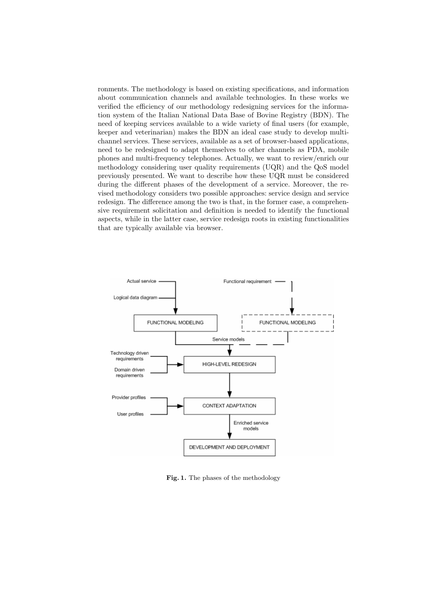ronments. The methodology is based on existing specifications, and information about communication channels and available technologies. In these works we verified the efficiency of our methodology redesigning services for the information system of the Italian National Data Base of Bovine Registry (BDN). The need of keeping services available to a wide variety of final users (for example, keeper and veterinarian) makes the BDN an ideal case study to develop multichannel services. These services, available as a set of browser-based applications, need to be redesigned to adapt themselves to other channels as PDA, mobile phones and multi-frequency telephones. Actually, we want to review/enrich our methodology considering user quality requirements (UQR) and the QoS model previously presented. We want to describe how these UQR must be considered during the different phases of the development of a service. Moreover, the revised methodology considers two possible approaches: service design and service redesign. The difference among the two is that, in the former case, a comprehensive requirement solicitation and definition is needed to identify the functional aspects, while in the latter case, service redesign roots in existing functionalities that are typically available via browser.



Fig. 1. The phases of the methodology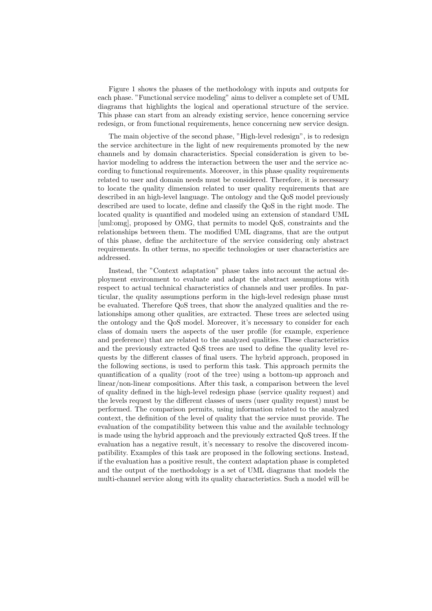Figure 1 shows the phases of the methodology with inputs and outputs for each phase. "Functional service modeling" aims to deliver a complete set of UML diagrams that highlights the logical and operational structure of the service. This phase can start from an already existing service, hence concerning service redesign, or from functional requirements, hence concerning new service design.

The main objective of the second phase, "High-level redesign", is to redesign the service architecture in the light of new requirements promoted by the new channels and by domain characteristics. Special consideration is given to behavior modeling to address the interaction between the user and the service according to functional requirements. Moreover, in this phase quality requirements related to user and domain needs must be considered. Therefore, it is necessary to locate the quality dimension related to user quality requirements that are described in an high-level language. The ontology and the QoS model previously described are used to locate, define and classify the QoS in the right mode. The located quality is quantified and modeled using an extension of standard UML [uml:omg], proposed by OMG, that permits to model QoS, constraints and the relationships between them. The modified UML diagrams, that are the output of this phase, define the architecture of the service considering only abstract requirements. In other terms, no specific technologies or user characteristics are addressed.

Instead, the "Context adaptation" phase takes into account the actual deployment environment to evaluate and adapt the abstract assumptions with respect to actual technical characteristics of channels and user profiles. In particular, the quality assumptions perform in the high-level redesign phase must be evaluated. Therefore QoS trees, that show the analyzed qualities and the relationships among other qualities, are extracted. These trees are selected using the ontology and the QoS model. Moreover, it's necessary to consider for each class of domain users the aspects of the user profile (for example, experience and preference) that are related to the analyzed qualities. These characteristics and the previously extracted QoS trees are used to define the quality level requests by the different classes of final users. The hybrid approach, proposed in the following sections, is used to perform this task. This approach permits the quantification of a quality (root of the tree) using a bottom-up approach and linear/non-linear compositions. After this task, a comparison between the level of quality defined in the high-level redesign phase (service quality request) and the levels request by the different classes of users (user quality request) must be performed. The comparison permits, using information related to the analyzed context, the definition of the level of quality that the service must provide. The evaluation of the compatibility between this value and the available technology is made using the hybrid approach and the previously extracted QoS trees. If the evaluation has a negative result, it's necessary to resolve the discovered incompatibility. Examples of this task are proposed in the following sections. Instead, if the evaluation has a positive result, the context adaptation phase is completed and the output of the methodology is a set of UML diagrams that models the multi-channel service along with its quality characteristics. Such a model will be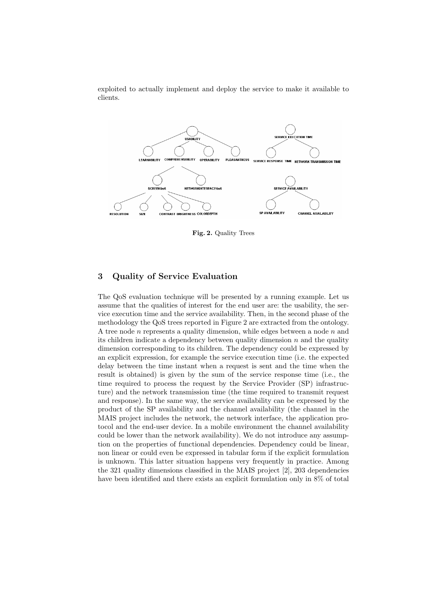exploited to actually implement and deploy the service to make it available to clients.



Fig. 2. Quality Trees

# 3 Quality of Service Evaluation

The QoS evaluation technique will be presented by a running example. Let us assume that the qualities of interest for the end user are: the usability, the service execution time and the service availability. Then, in the second phase of the methodology the QoS trees reported in Figure 2 are extracted from the ontology. A tree node n represents a quality dimension, while edges between a node  $n$  and its children indicate a dependency between quality dimension  $n$  and the quality dimension corresponding to its children. The dependency could be expressed by an explicit expression, for example the service execution time (i.e. the expected delay between the time instant when a request is sent and the time when the result is obtained) is given by the sum of the service response time (i.e., the time required to process the request by the Service Provider (SP) infrastructure) and the network transmission time (the time required to transmit request and response). In the same way, the service availability can be expressed by the product of the SP availability and the channel availability (the channel in the MAIS project includes the network, the network interface, the application protocol and the end-user device. In a mobile environment the channel availability could be lower than the network availability). We do not introduce any assumption on the properties of functional dependencies. Dependency could be linear, non linear or could even be expressed in tabular form if the explicit formulation is unknown. This latter situation happens very frequently in practice. Among the 321 quality dimensions classified in the MAIS project [2], 203 dependencies have been identified and there exists an explicit formulation only in 8% of total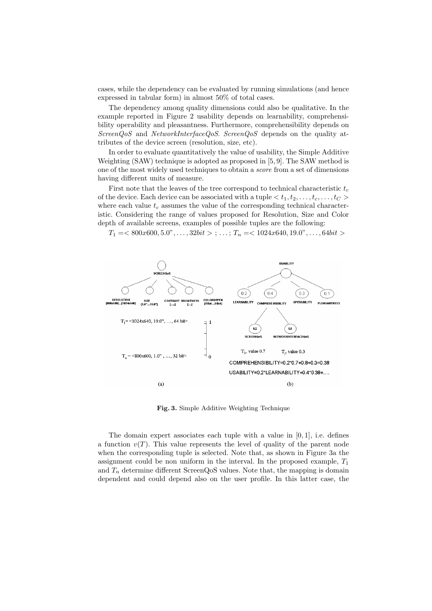cases, while the dependency can be evaluated by running simulations (and hence expressed in tabular form) in almost 50% of total cases.

The dependency among quality dimensions could also be qualitative. In the example reported in Figure 2 usability depends on learnability, comprehensibility operability and pleasantness. Furthermore, comprehensibility depends on ScreenQoS and NetworkInterfaceQoS. ScreenQoS depends on the quality attributes of the device screen (resolution, size, etc).

In order to evaluate quantitatively the value of usability, the Simple Additive Weighting (SAW) technique is adopted as proposed in [5, 9]. The SAW method is one of the most widely used techniques to obtain a score from a set of dimensions having different units of measure.

First note that the leaves of the tree correspond to technical characteristic  $t_c$ of the device. Each device can be associated with a tuple  $\langle t_1, t_2, \ldots, t_c, \ldots, t_C \rangle$ where each value  $t_c$  assumes the value of the corresponding technical characteristic. Considering the range of values proposed for Resolution, Size and Color depth of available screens, examples of possible tuples are the following:

 $T_1 = <800x600, 5.0$ ", ...,  $32bit > ; \ldots$ ;  $T_n = <1024x640, 19.0$ ", ...,  $64bit >$ 



Fig. 3. Simple Additive Weighting Technique

The domain expert associates each tuple with a value in  $[0, 1]$ , i.e. defines a function  $v(T)$ . This value represents the level of quality of the parent node when the corresponding tuple is selected. Note that, as shown in Figure 3a the assignment could be non uniform in the interval. In the proposed example,  $T_1$ and  $T_n$  determine different ScreenQoS values. Note that, the mapping is domain dependent and could depend also on the user profile. In this latter case, the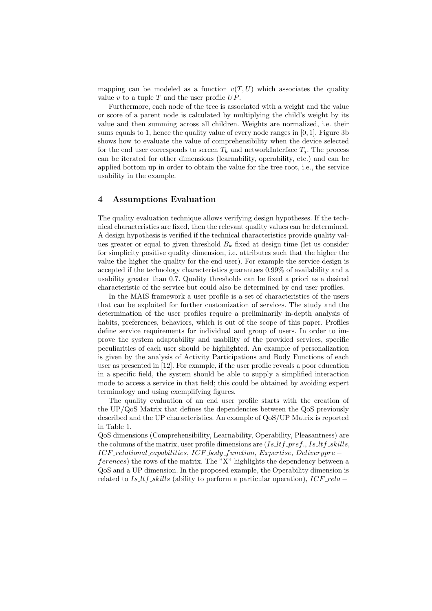mapping can be modeled as a function  $v(T, U)$  which associates the quality value v to a tuple T and the user profile  $UP$ .

Furthermore, each node of the tree is associated with a weight and the value or score of a parent node is calculated by multiplying the child's weight by its value and then summing across all children. Weights are normalized, i.e. their sums equals to 1, hence the quality value of every node ranges in  $[0, 1]$ . Figure 3b shows how to evaluate the value of comprehensibility when the device selected for the end user corresponds to screen  $T_k$  and networkInterface  $T_i$ . The process can be iterated for other dimensions (learnability, operability, etc.) and can be applied bottom up in order to obtain the value for the tree root, i.e., the service usability in the example.

#### 4 Assumptions Evaluation

The quality evaluation technique allows verifying design hypotheses. If the technical characteristics are fixed, then the relevant quality values can be determined. A design hypothesis is verified if the technical characteristics provide quality values greater or equal to given threshold  $B_k$  fixed at design time (let us consider for simplicity positive quality dimension, i.e. attributes such that the higher the value the higher the quality for the end user). For example the service design is accepted if the technology characteristics guarantees 0.99% of availability and a usability greater than 0.7. Quality thresholds can be fixed a priori as a desired characteristic of the service but could also be determined by end user profiles.

In the MAIS framework a user profile is a set of characteristics of the users that can be exploited for further customization of services. The study and the determination of the user profiles require a preliminarily in-depth analysis of habits, preferences, behaviors, which is out of the scope of this paper. Profiles define service requirements for individual and group of users. In order to improve the system adaptability and usability of the provided services, specific peculiarities of each user should be highlighted. An example of personalization is given by the analysis of Activity Participations and Body Functions of each user as presented in [12]. For example, if the user profile reveals a poor education in a specific field, the system should be able to supply a simplified interaction mode to access a service in that field; this could be obtained by avoiding expert terminology and using exemplifying figures.

The quality evaluation of an end user profile starts with the creation of the UP/QoS Matrix that defines the dependencies between the QoS previously described and the UP characteristics. An example of QoS/UP Matrix is reported in Table 1.

QoS dimensions (Comprehensibility, Learnability, Operability, Pleasantness) are the columns of the matrix, user profile dimensions are  $(Is_l_tf_rref., Is_ltf_skills,$ ICF relational capabilities, ICF body function, Expertise, Deliverypre −

ferences) the rows of the matrix. The "X" highlights the dependency between a QoS and a UP dimension. In the proposed example, the Operability dimension is related to Is\_ltf\_skills (ability to perform a particular operation),  $ICF_{\textit{rela}} -$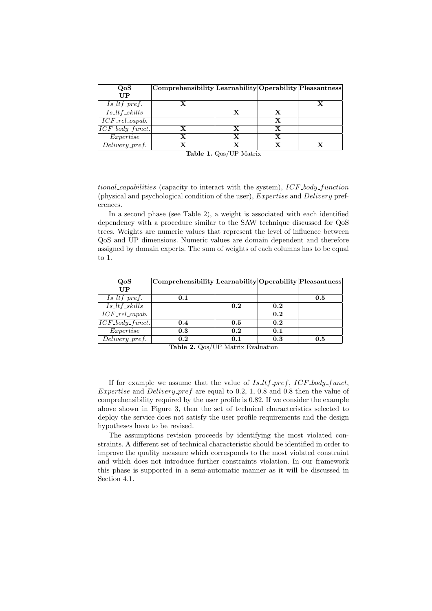| QoS                                     | Comprehensibility Learnability Operability Pleasantness |   |   |  |
|-----------------------------------------|---------------------------------------------------------|---|---|--|
| UP                                      |                                                         |   |   |  |
| $Is_ltf_pref.$                          |                                                         |   |   |  |
| $Is$ <sub>Itf_skills</sub>              |                                                         | x |   |  |
| $\overline{ICF_{\mathcal{I}}$ el_capab. |                                                         |   | X |  |
| $ICF\_body\_funct.$                     | $\mathbf x$                                             | x | x |  |
| $\pounds$ <i>xpertise</i>               | $\mathbf x$                                             |   |   |  |
| $\overline{Delively\_pref.}$            |                                                         |   |   |  |

Table 1. Qos/UP Matrix

tional capabilities (capacity to interact with the system),  $ICF_{\alpha}$  function (physical and psychological condition of the user), Expertise and Delivery preferences.

In a second phase (see Table 2), a weight is associated with each identified dependency with a procedure similar to the SAW technique discussed for QoS trees. Weights are numeric values that represent the level of influence between QoS and UP dimensions. Numeric values are domain dependent and therefore assigned by domain experts. The sum of weights of each columns has to be equal to 1.

| QoS                                   | Comprehensibility Learnability Operability Pleasantness |     |     |     |
|---------------------------------------|---------------------------------------------------------|-----|-----|-----|
| UP                                    |                                                         |     |     |     |
| $Is_l tf_pref.$                       | 0.1                                                     |     |     | 0.5 |
| $Is$ <sub>Itf</sub> <sub>skills</sub> |                                                         | 0.2 | 0.2 |     |
| $\overline{ICF_{\_}rel_{\_}capab.}$   |                                                         |     | 0.2 |     |
| $\overline{ICF\_body\_funct.}$        | 0.4                                                     | 0.5 | 0.2 |     |
| Expertise                             | 0.3                                                     | 0.2 | 0.1 |     |
| Delivery_pref.                        | 0.2                                                     | 0.1 | 0.3 | 0.5 |

Table 2. Qos/UP Matrix Evaluation

If for example we assume that the value of  $Is_l tf_pref$ ,  $ICF_l body_funct$ , Expertise and Delivery pref are equal to 0.2, 1, 0.8 and 0.8 then the value of comprehensibility required by the user profile is 0.82. If we consider the example above shown in Figure 3, then the set of technical characteristics selected to deploy the service does not satisfy the user profile requirements and the design hypotheses have to be revised.

The assumptions revision proceeds by identifying the most violated constraints. A different set of technical characteristic should be identified in order to improve the quality measure which corresponds to the most violated constraint and which does not introduce further constraints violation. In our framework this phase is supported in a semi-automatic manner as it will be discussed in Section 4.1.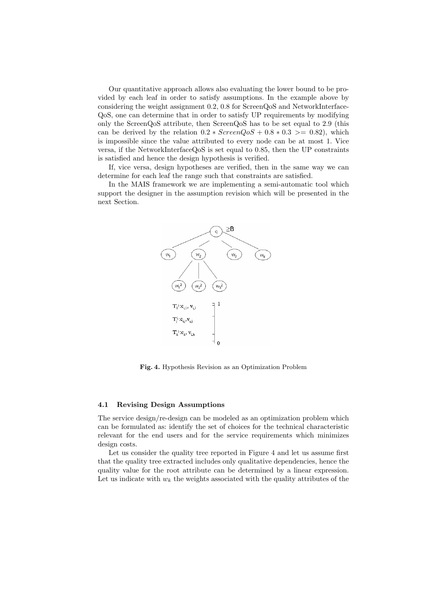Our quantitative approach allows also evaluating the lower bound to be provided by each leaf in order to satisfy assumptions. In the example above by considering the weight assignment 0.2, 0.8 for ScreenQoS and NetworkInterface-QoS, one can determine that in order to satisfy UP requirements by modifying only the ScreenQoS attribute, then ScreenQoS has to be set equal to 2.9 (this can be derived by the relation  $0.2 * ScreenQoS + 0.8 * 0.3 \ge 0.82$ , which is impossible since the value attributed to every node can be at most 1. Vice versa, if the NetworkInterfaceQoS is set equal to 0.85, then the UP constraints is satisfied and hence the design hypothesis is verified.

If, vice versa, design hypotheses are verified, then in the same way we can determine for each leaf the range such that constraints are satisfied.

In the MAIS framework we are implementing a semi-automatic tool which support the designer in the assumption revision which will be presented in the next Section.



Fig. 4. Hypothesis Revision as an Optimization Problem

#### 4.1 Revising Design Assumptions

The service design/re-design can be modeled as an optimization problem which can be formulated as: identify the set of choices for the technical characteristic relevant for the end users and for the service requirements which minimizes design costs.

Let us consider the quality tree reported in Figure 4 and let us assume first that the quality tree extracted includes only qualitative dependencies, hence the quality value for the root attribute can be determined by a linear expression. Let us indicate with  $w_k$  the weights associated with the quality attributes of the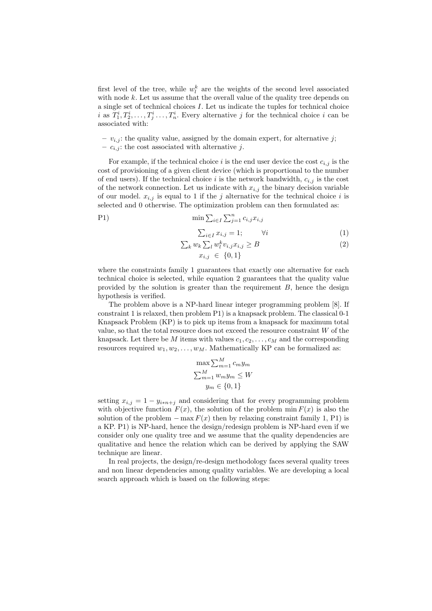first level of the tree, while  $w_l^k$  are the weights of the second level associated with node  $k$ . Let us assume that the overall value of the quality tree depends on a single set of technical choices I. Let us indicate the tuples for technical choice i as  $T_1^i, T_2^i, \ldots, T_j^i \ldots, T_n^i$ . Every alternative j for the technical choice i can be associated with:

–  $v_{i,j}$ : the quality value, assigned by the domain expert, for alternative j; –  $c_{i,j}$ : the cost associated with alternative j.

For example, if the technical choice i is the end user device the cost  $c_{i,j}$  is the cost of provisioning of a given client device (which is proportional to the number of end users). If the technical choice i is the network bandwidth,  $c_{i,j}$  is the cost of the network connection. Let us indicate with  $x_{i,j}$  the binary decision variable of our model.  $x_{i,j}$  is equal to 1 if the j alternative for the technical choice i is selected and 0 otherwise. The optimization problem can then formulated as:

P1) 
$$
\min \sum_{i \in I} \sum_{j=1}^{n} c_{i,j} x_{i,j}
$$

$$
\sum_{i \in I} x_{i,j} = 1; \qquad \forall i \tag{1}
$$

$$
\sum_{k} w_k \sum_{l} w_l^k v_{i,j} x_{i,j} \ge B \tag{2}
$$

$$
x_{i,j} \in \{0,1\}
$$

where the constraints family 1 guarantees that exactly one alternative for each technical choice is selected, while equation 2 guarantees that the quality value provided by the solution is greater than the requirement  $B$ , hence the design hypothesis is verified.

The problem above is a NP-hard linear integer programming problem [8]. If constraint 1 is relaxed, then problem P1) is a knapsack problem. The classical 0-1 Knapsack Problem (KP) is to pick up items from a knapsack for maximum total value, so that the total resource does not exceed the resource constraint  $W$  of the knapsack. Let there be M items with values  $c_1, c_2, \ldots, c_M$  and the corresponding resources required  $w_1, w_2, \ldots, w_M$ . Mathematically KP can be formalized as:

$$
\max \sum_{m=1}^{M} c_m y_m
$$
  

$$
\sum_{m=1}^{M} w_m y_m \le W
$$
  

$$
y_m \in \{0, 1\}
$$

setting  $x_{i,j} = 1 - y_{i*n+j}$  and considering that for every programming problem with objective function  $F(x)$ , the solution of the problem min  $F(x)$  is also the solution of the problem  $-\max F(x)$  then by relaxing constraint family 1, P1) is a KP. P1) is NP-hard, hence the design/redesign problem is NP-hard even if we consider only one quality tree and we assume that the quality dependencies are qualitative and hence the relation which can be derived by applying the SAW technique are linear.

In real projects, the design/re-design methodology faces several quality trees and non linear dependencies among quality variables. We are developing a local search approach which is based on the following steps: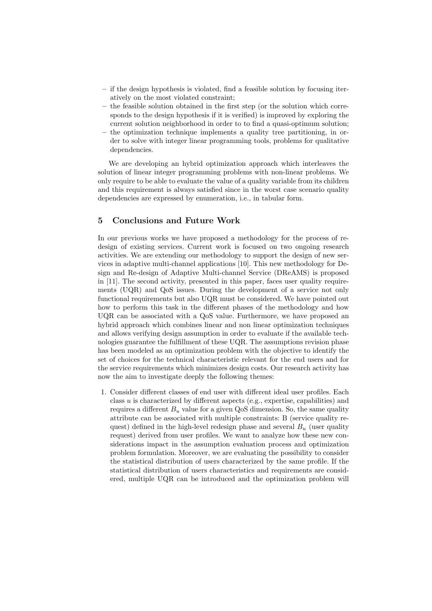- if the design hypothesis is violated, find a feasible solution by focusing iteratively on the most violated constraint;
- the feasible solution obtained in the first step (or the solution which corresponds to the design hypothesis if it is verified) is improved by exploring the current solution neighborhood in order to to find a quasi-optimum solution;
- $-$  the optimization technique implements a quality tree partitioning, in order to solve with integer linear programming tools, problems for qualitative dependencies.

We are developing an hybrid optimization approach which interleaves the solution of linear integer programming problems with non-linear problems. We only require to be able to evaluate the value of a quality variable from its children and this requirement is always satisfied since in the worst case scenario quality dependencies are expressed by enumeration, i.e., in tabular form.

## 5 Conclusions and Future Work

In our previous works we have proposed a methodology for the process of redesign of existing services. Current work is focused on two ongoing research activities. We are extending our methodology to support the design of new services in adaptive multi-channel applications [10]. This new methodology for Design and Re-design of Adaptive Multi-channel Service (DReAMS) is proposed in [11]. The second activity, presented in this paper, faces user quality requirements (UQR) and QoS issues. During the development of a service not only functional requirements but also UQR must be considered. We have pointed out how to perform this task in the different phases of the methodology and how UQR can be associated with a QoS value. Furthermore, we have proposed an hybrid approach which combines linear and non linear optimization techniques and allows verifying design assumption in order to evaluate if the available technologies guarantee the fulfillment of these UQR. The assumptions revision phase has been modeled as an optimization problem with the objective to identify the set of choices for the technical characteristic relevant for the end users and for the service requirements which minimizes design costs. Our research activity has now the aim to investigate deeply the following themes:

1. Consider different classes of end user with different ideal user profiles. Each class u is characterized by different aspects (e.g., expertise, capabilities) and requires a different  $B_u$  value for a given QoS dimension. So, the same quality attribute can be associated with multiple constraints: B (service quality request) defined in the high-level redesign phase and several  $B_u$  (user quality request) derived from user profiles. We want to analyze how these new considerations impact in the assumption evaluation process and optimization problem formulation. Moreover, we are evaluating the possibility to consider the statistical distribution of users characterized by the same profile. If the statistical distribution of users characteristics and requirements are considered, multiple UQR can be introduced and the optimization problem will